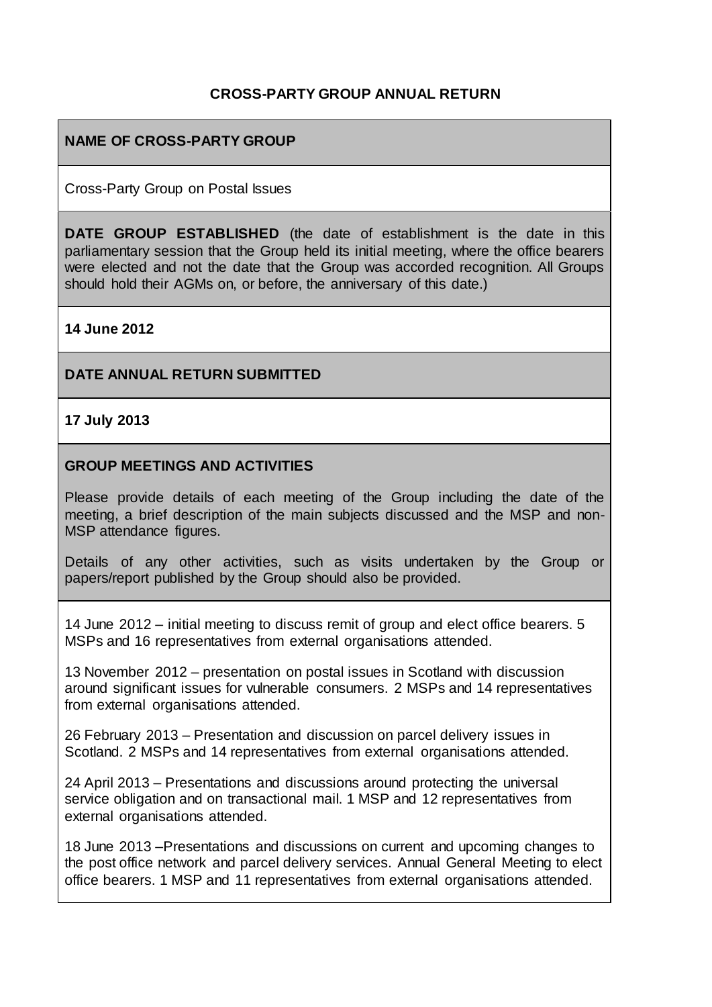## **CROSS-PARTY GROUP ANNUAL RETURN**

## **NAME OF CROSS-PARTY GROUP**

Cross-Party Group on Postal Issues

**DATE GROUP ESTABLISHED** (the date of establishment is the date in this parliamentary session that the Group held its initial meeting, where the office bearers were elected and not the date that the Group was accorded recognition. All Groups should hold their AGMs on, or before, the anniversary of this date.)

#### **14 June 2012**

#### **DATE ANNUAL RETURN SUBMITTED**

**17 July 2013**

#### **GROUP MEETINGS AND ACTIVITIES**

Please provide details of each meeting of the Group including the date of the meeting, a brief description of the main subjects discussed and the MSP and non-MSP attendance figures.

Details of any other activities, such as visits undertaken by the Group or papers/report published by the Group should also be provided.

14 June 2012 – initial meeting to discuss remit of group and elect office bearers. 5 MSPs and 16 representatives from external organisations attended.

13 November 2012 – presentation on postal issues in Scotland with discussion around significant issues for vulnerable consumers. 2 MSPs and 14 representatives from external organisations attended.

26 February 2013 – Presentation and discussion on parcel delivery issues in Scotland. 2 MSPs and 14 representatives from external organisations attended.

24 April 2013 – Presentations and discussions around protecting the universal service obligation and on transactional mail. 1 MSP and 12 representatives from external organisations attended.

18 June 2013 –Presentations and discussions on current and upcoming changes to the post office network and parcel delivery services. Annual General Meeting to elect office bearers. 1 MSP and 11 representatives from external organisations attended.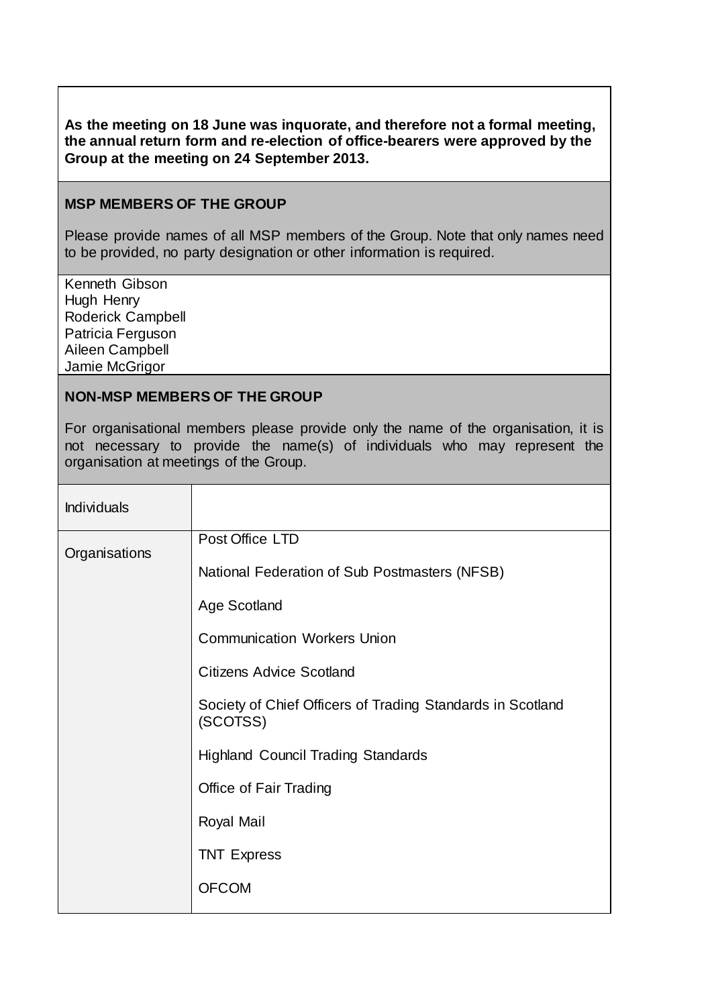#### **As the meeting on 18 June was inquorate, and therefore not a formal meeting, the annual return form and re-election of office-bearers were approved by the Group at the meeting on 24 September 2013.**

#### **MSP MEMBERS OF THE GROUP**

Please provide names of all MSP members of the Group. Note that only names need to be provided, no party designation or other information is required.

Kenneth Gibson Hugh Henry Roderick Campbell Patricia Ferguson Aileen Campbell Jamie McGrigor

#### **NON-MSP MEMBERS OF THE GROUP**

For organisational members please provide only the name of the organisation, it is not necessary to provide the name(s) of individuals who may represent the organisation at meetings of the Group.

| <b>Individuals</b> |                                                                        |
|--------------------|------------------------------------------------------------------------|
| Organisations      | Post Office LTD                                                        |
|                    | National Federation of Sub Postmasters (NFSB)                          |
|                    | <b>Age Scotland</b>                                                    |
|                    | <b>Communication Workers Union</b>                                     |
|                    | <b>Citizens Advice Scotland</b>                                        |
|                    | Society of Chief Officers of Trading Standards in Scotland<br>(SCOTSS) |
|                    | <b>Highland Council Trading Standards</b>                              |
|                    | <b>Office of Fair Trading</b>                                          |
|                    | Royal Mail                                                             |
|                    | <b>TNT Express</b>                                                     |
|                    | <b>OFCOM</b>                                                           |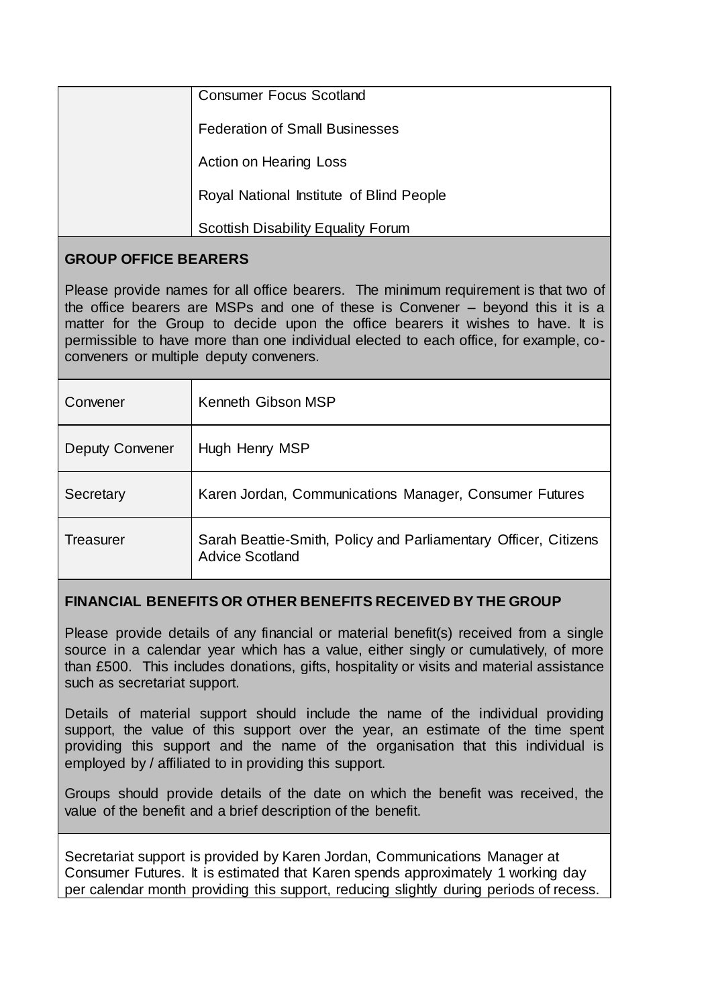| <b>Consumer Focus Scotland</b>            |
|-------------------------------------------|
| <b>Federation of Small Businesses</b>     |
| <b>Action on Hearing Loss</b>             |
| Royal National Institute of Blind People  |
| <b>Scottish Disability Equality Forum</b> |

# **GROUP OFFICE BEARERS**

Please provide names for all office bearers. The minimum requirement is that two of the office bearers are MSPs and one of these is Convener – beyond this it is a matter for the Group to decide upon the office bearers it wishes to have. It is permissible to have more than one individual elected to each office, for example, coconveners or multiple deputy conveners.

| Convener               | Kenneth Gibson MSP                                                                        |
|------------------------|-------------------------------------------------------------------------------------------|
| <b>Deputy Convener</b> | Hugh Henry MSP                                                                            |
| Secretary              | Karen Jordan, Communications Manager, Consumer Futures                                    |
| <b>Treasurer</b>       | Sarah Beattie-Smith, Policy and Parliamentary Officer, Citizens<br><b>Advice Scotland</b> |

# **FINANCIAL BENEFITS OR OTHER BENEFITS RECEIVED BY THE GROUP**

Please provide details of any financial or material benefit(s) received from a single source in a calendar year which has a value, either singly or cumulatively, of more than £500. This includes donations, gifts, hospitality or visits and material assistance such as secretariat support.

Details of material support should include the name of the individual providing support, the value of this support over the year, an estimate of the time spent providing this support and the name of the organisation that this individual is employed by / affiliated to in providing this support.

Groups should provide details of the date on which the benefit was received, the value of the benefit and a brief description of the benefit.

Secretariat support is provided by Karen Jordan, Communications Manager at Consumer Futures. It is estimated that Karen spends approximately 1 working day per calendar month providing this support, reducing slightly during periods of recess.